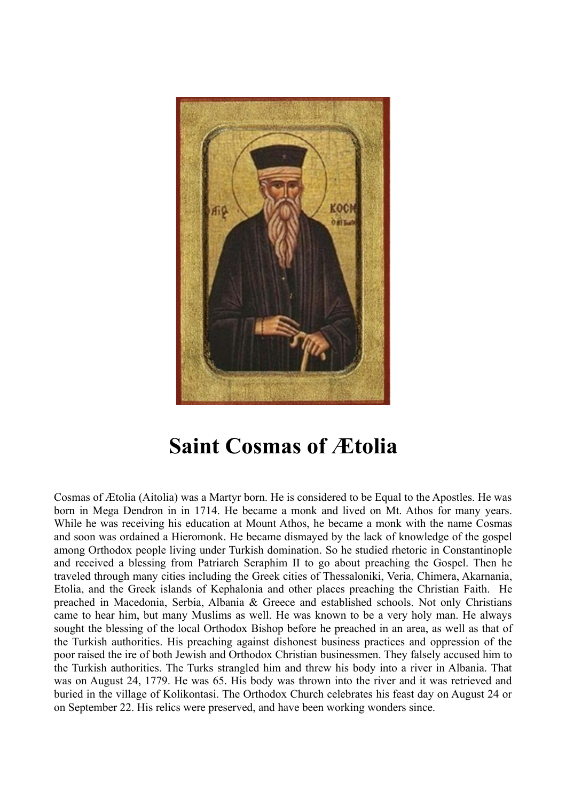

## **Saint Cosmas of Ætolia**

Cosmas of Ætolia (Aitolia) was a Martyr born. He is considered to be Equal to the Apostles. He was born in Mega Dendron in in 1714. He became a monk and lived on Mt. Athos for many years. While he was receiving his education at Mount Athos, he became a monk with the name Cosmas and soon was ordained a Hieromonk. He became dismayed by the lack of knowledge of the gospel among Orthodox people living under Turkish domination. So he studied rhetoric in Constantinople and received a blessing from Patriarch Seraphim II to go about preaching the Gospel. Then he traveled through many cities including the Greek cities of Thessaloniki, Veria, Chimera, Akarnania, Etolia, and the Greek islands of Kephalonia and other places preaching the Christian Faith. He preached in Macedonia, Serbia, Albania & Greece and established schools. Not only Christians came to hear him, but many Muslims as well. He was known to be a very holy man. He always sought the blessing of the local Orthodox Bishop before he preached in an area, as well as that of the Turkish authorities. His preaching against dishonest business practices and oppression of the poor raised the ire of both Jewish and Orthodox Christian businessmen. They falsely accused him to the Turkish authorities. The Turks strangled him and threw his body into a river in Albania. That was on August 24, 1779. He was 65. His body was thrown into the river and it was retrieved and buried in the village of Kolikontasi. The Orthodox Church celebrates his feast day on August 24 or on September 22. His relics were preserved, and have been working wonders since.